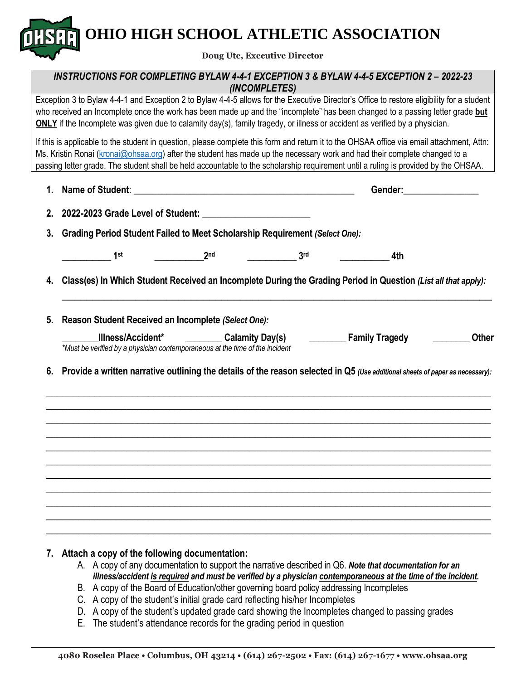**OHIO HIGH SCHOOL ATHLETIC ASSOCIATION**

**Doug Ute, Executive Director**

## *INSTRUCTIONS FOR COMPLETING BYLAW 4-4-1 EXCEPTION 3 & BYLAW 4-4-5 EXCEPTION 2 – 2022-23 (INCOMPLETES)*

Exception 3 to Bylaw 4-4-1 and Exception 2 to Bylaw 4-4-5 allows for the Executive Director's Office to restore eligibility for a student who received an Incomplete once the work has been made up and the "incomplete" has been changed to a passing letter grade **but ONLY** if the Incomplete was given due to calamity day(s), family tragedy, or illness or accident as verified by a physician.

If this is applicable to the student in question, please complete this form and return it to the OHSAA office via email attachment, Attn: Ms. Kristin Ronai [\(kronai@ohsaa.org\)](mailto:kronai@ohsaa.org) after the student has made up the necessary work and had their complete changed to a passing letter grade. The student shall be held accountable to the scholarship requirement until a ruling is provided by the OHSAA.

| 1.                                                                    |                                                                                                                                  |                                |                 | Gender: <u>__________</u> |                   |  |  |  |
|-----------------------------------------------------------------------|----------------------------------------------------------------------------------------------------------------------------------|--------------------------------|-----------------|---------------------------|-------------------|--|--|--|
|                                                                       |                                                                                                                                  |                                |                 |                           |                   |  |  |  |
| 3.                                                                    | Grading Period Student Failed to Meet Scholarship Requirement (Select One):                                                      |                                |                 |                           |                   |  |  |  |
|                                                                       | $\frac{1}{\sqrt{1-\frac{1}{2}}}$ 1st                                                                                             | $\overline{\phantom{a}2^{nd}}$ | 3 <sub>rd</sub> |                           |                   |  |  |  |
| 4.                                                                    | Class(es) In Which Student Received an Incomplete During the Grading Period in Question (List all that apply):                   |                                |                 |                           |                   |  |  |  |
| Reason Student Received an Incomplete (Select One):<br>5 <sub>1</sub> |                                                                                                                                  |                                |                 |                           |                   |  |  |  |
|                                                                       | *Must be verified by a physician contemporaneous at the time of the incident                                                     |                                |                 |                           | <b>Example 12</b> |  |  |  |
|                                                                       | 6. Provide a written narrative outlining the details of the reason selected in Q5 (Use additional sheets of paper as necessary): |                                |                 |                           |                   |  |  |  |
|                                                                       |                                                                                                                                  |                                |                 |                           |                   |  |  |  |
|                                                                       |                                                                                                                                  |                                |                 |                           |                   |  |  |  |
|                                                                       |                                                                                                                                  |                                |                 |                           |                   |  |  |  |
|                                                                       |                                                                                                                                  |                                |                 |                           |                   |  |  |  |
|                                                                       |                                                                                                                                  |                                |                 |                           |                   |  |  |  |
|                                                                       |                                                                                                                                  |                                |                 |                           |                   |  |  |  |
|                                                                       |                                                                                                                                  |                                |                 |                           |                   |  |  |  |

### **7. Attach a copy of the following documentation:**

- A. A copy of any documentation to support the narrative described in Q6. *Note that documentation for an illness/accident is required and must be verified by a physician contemporaneous at the time of the incident.*
- B. A copy of the Board of Education/other governing board policy addressing Incompletes
- C. A copy of the student's initial grade card reflecting his/her Incompletes
- D. A copy of the student's updated grade card showing the Incompletes changed to passing grades
- E. The student's attendance records for the grading period in question